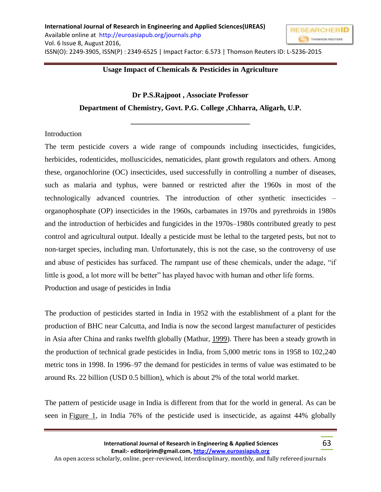

#### **Usage Impact of Chemicals & Pesticides in Agriculture**

# **Dr P.S.Rajpoot , Associate Professor Department of Chemistry, Govt. P.G. College ,Chharra, Aligarh, U.P.**

**\_\_\_\_\_\_\_\_\_\_\_\_\_\_\_\_\_\_\_\_\_\_\_\_\_\_\_\_\_\_\_\_**

#### Introduction

The term pesticide covers a wide range of compounds including insecticides, fungicides, herbicides, rodenticides, molluscicides, nematicides, plant growth regulators and others. Among these, organochlorine (OC) insecticides, used successfully in controlling a number of diseases, such as malaria and typhus, were banned or restricted after the 1960s in most of the technologically advanced countries. The introduction of other synthetic insecticides – organophosphate (OP) insecticides in the 1960s, carbamates in 1970s and pyrethroids in 1980s and the introduction of herbicides and fungicides in the 1970s–1980s contributed greatly to pest control and agricultural output. Ideally a pesticide must be lethal to the targeted pests, but not to non-target species, including man. Unfortunately, this is not the case, so the controversy of use and abuse of pesticides has surfaced. The rampant use of these chemicals, under the adage, "if little is good, a lot more will be better" has played havoc with human and other life forms. Production and usage of pesticides in India

The production of pesticides started in India in 1952 with the establishment of a plant for the production of BHC near Calcutta, and India is now the second largest manufacturer of pesticides in Asia after China and ranks twelfth globally (Mathur, [1999\)](https://www.ncbi.nlm.nih.gov/pmc/articles/PMC2984095/#CIT0098). There has been a steady growth in the production of technical grade pesticides in India, from 5,000 metric tons in 1958 to 102,240 metric tons in 1998. In 1996–97 the demand for pesticides in terms of value was estimated to be around Rs. 22 billion (USD 0.5 billion), which is about 2% of the total world market.

The pattern of pesticide usage in India is different from that for the world in general. As can be seen in [Figure 1,](https://www.ncbi.nlm.nih.gov/pmc/articles/PMC2984095/figure/F0001/) in India 76% of the pesticide used is insecticide, as against 44% globally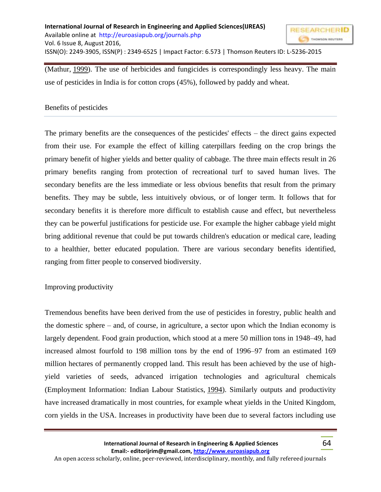

### Benefits of pesticides

The primary benefits are the consequences of the pesticides' effects – the direct gains expected from their use. For example the effect of killing caterpillars feeding on the crop brings the primary benefit of higher yields and better quality of cabbage. The three main effects result in 26 primary benefits ranging from protection of recreational turf to saved human lives. The secondary benefits are the less immediate or less obvious benefits that result from the primary benefits. They may be subtle, less intuitively obvious, or of longer term. It follows that for secondary benefits it is therefore more difficult to establish cause and effect, but nevertheless they can be powerful justifications for pesticide use. For example the higher cabbage yield might bring additional revenue that could be put towards children's education or medical care, leading to a healthier, better educated population. There are various secondary benefits identified, ranging from fitter people to conserved biodiversity.

#### Improving productivity

Tremendous benefits have been derived from the use of pesticides in forestry, public health and the domestic sphere – and, of course, in agriculture, a sector upon which the Indian economy is largely dependent. Food grain production, which stood at a mere 50 million tons in 1948–49, had increased almost fourfold to 198 million tons by the end of 1996–97 from an estimated 169 million hectares of permanently cropped land. This result has been achieved by the use of highyield varieties of seeds, advanced irrigation technologies and agricultural chemicals (Employment Information: Indian Labour Statistics, [1994\)](https://www.ncbi.nlm.nih.gov/pmc/articles/PMC2984095/#CIT0034). Similarly outputs and productivity have increased dramatically in most countries, for example wheat yields in the United Kingdom, corn yields in the USA. Increases in productivity have been due to several factors including use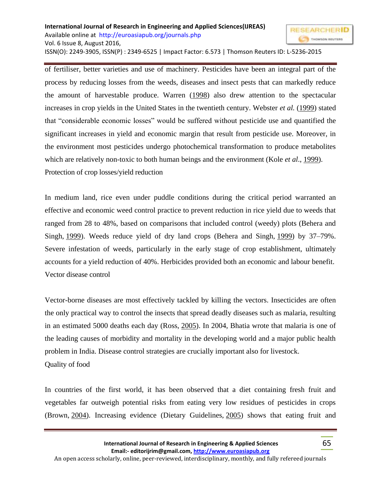#### **International Journal of Research in Engineering and Applied Sciences(IJREAS) RESEARCHERID** Available online at<http://euroasiapub.org/journals.php> Vol. 6 Issue 8, August 2016, ISSN(O): 2249-3905, ISSN(P) : 2349-6525 | Impact Factor: 6.573 | Thomson Reuters ID: L-5236-2015

of fertiliser, better varieties and use of machinery. Pesticides have been an integral part of the process by reducing losses from the weeds, diseases and insect pests that can markedly reduce the amount of harvestable produce. Warren [\(1998\)](https://www.ncbi.nlm.nih.gov/pmc/articles/PMC2984095/#CIT0178) also drew attention to the spectacular increases in crop yields in the United States in the twentieth century. Webster *et al.* [\(1999\)](https://www.ncbi.nlm.nih.gov/pmc/articles/PMC2984095/#CIT0182) stated that "considerable economic losses" would be suffered without pesticide use and quantified the significant increases in yield and economic margin that result from pesticide use. Moreover, in the environment most pesticides undergo photochemical transformation to produce metabolites which are relatively non-toxic to both human beings and the environment (Kole *et al*., [1999\)](https://www.ncbi.nlm.nih.gov/pmc/articles/PMC2984095/#CIT0078). Protection of crop losses/yield reduction

In medium land, rice even under puddle conditions during the critical period warranted an effective and economic weed control practice to prevent reduction in rice yield due to weeds that ranged from 28 to 48%, based on comparisons that included control (weedy) plots (Behera and Singh, [1999\)](https://www.ncbi.nlm.nih.gov/pmc/articles/PMC2984095/#CIT0010). Weeds reduce yield of dry land crops (Behera and Singh, [1999\)](https://www.ncbi.nlm.nih.gov/pmc/articles/PMC2984095/#CIT0010) by 37–79%. Severe infestation of weeds, particularly in the early stage of crop establishment, ultimately accounts for a yield reduction of 40%. Herbicides provided both an economic and labour benefit. Vector disease control

Vector-borne diseases are most effectively tackled by killing the vectors. Insecticides are often the only practical way to control the insects that spread deadly diseases such as malaria, resulting in an estimated 5000 deaths each day (Ross, [2005\)](https://www.ncbi.nlm.nih.gov/pmc/articles/PMC2984095/#CIT0131). In 2004, Bhatia wrote that malaria is one of the leading causes of morbidity and mortality in the developing world and a major public health problem in India. Disease control strategies are crucially important also for livestock. Quality of food

In countries of the first world, it has been observed that a diet containing fresh fruit and vegetables far outweigh potential risks from eating very low residues of pesticides in crops (Brown, [2004\)](https://www.ncbi.nlm.nih.gov/pmc/articles/PMC2984095/#CIT0018). Increasing evidence (Dietary Guidelines, [2005\)](https://www.ncbi.nlm.nih.gov/pmc/articles/PMC2984095/#CIT0029) shows that eating fruit and

THOMSON REUTERS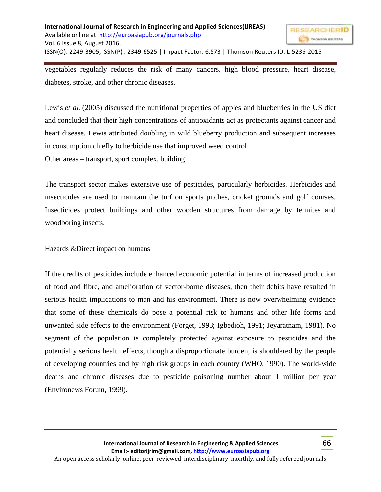

vegetables regularly reduces the risk of many cancers, high blood pressure, heart disease, diabetes, stroke, and other chronic diseases.

Lewis *et al.* [\(2005\)](https://www.ncbi.nlm.nih.gov/pmc/articles/PMC2984095/#CIT0086) discussed the nutritional properties of apples and blueberries in the US diet and concluded that their high concentrations of antioxidants act as protectants against cancer and heart disease. Lewis attributed doubling in wild blueberry production and subsequent increases in consumption chiefly to herbicide use that improved weed control.

Other areas – transport, sport complex, building

The transport sector makes extensive use of pesticides, particularly herbicides. Herbicides and insecticides are used to maintain the turf on sports pitches, cricket grounds and golf courses. Insecticides protect buildings and other wooden structures from damage by termites and woodboring insects.

# Hazards &Direct impact on humans

If the credits of pesticides include enhanced economic potential in terms of increased production of food and fibre, and amelioration of vector-borne diseases, then their debits have resulted in serious health implications to man and his environment. There is now overwhelming evidence that some of these chemicals do pose a potential risk to humans and other life forms and unwanted side effects to the environment (Forget, [1993;](https://www.ncbi.nlm.nih.gov/pmc/articles/PMC2984095/#CIT0043) Igbedioh, [1991;](https://www.ncbi.nlm.nih.gov/pmc/articles/PMC2984095/#CIT0059) Jeyaratnam, 1981). No segment of the population is completely protected against exposure to pesticides and the potentially serious health effects, though a disproportionate burden, is shouldered by the people of developing countries and by high risk groups in each country (WHO, [1990\)](https://www.ncbi.nlm.nih.gov/pmc/articles/PMC2984095/#CIT0183). The world-wide deaths and chronic diseases due to pesticide poisoning number about 1 million per year (Environews Forum, [1999\)](https://www.ncbi.nlm.nih.gov/pmc/articles/PMC2984095/#CIT0035).

66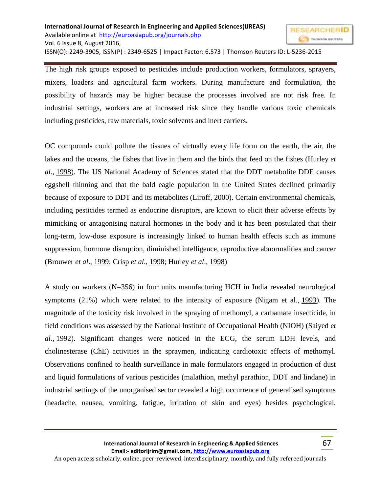The high risk groups exposed to pesticides include production workers, formulators, sprayers, mixers, loaders and agricultural farm workers. During manufacture and formulation, the possibility of hazards may be higher because the processes involved are not risk free. In industrial settings, workers are at increased risk since they handle various toxic chemicals including pesticides, raw materials, toxic solvents and inert carriers.

OC compounds could pollute the tissues of virtually every life form on the earth, the air, the lakes and the oceans, the fishes that live in them and the birds that feed on the fishes (Hurley *et al*., [1998\)](https://www.ncbi.nlm.nih.gov/pmc/articles/PMC2984095/#CIT0058). The US National Academy of Sciences stated that the DDT metabolite DDE causes eggshell thinning and that the bald eagle population in the United States declined primarily because of exposure to DDT and its metabolites (Liroff, [2000\)](https://www.ncbi.nlm.nih.gov/pmc/articles/PMC2984095/#CIT0088). Certain environmental chemicals, including pesticides termed as endocrine disruptors, are known to elicit their adverse effects by mimicking or antagonising natural hormones in the body and it has been postulated that their long-term, low-dose exposure is increasingly linked to human health effects such as immune suppression, hormone disruption, diminished intelligence, reproductive abnormalities and cancer (Brouwer *et al*., [1999;](https://www.ncbi.nlm.nih.gov/pmc/articles/PMC2984095/#CIT0017) Crisp *et al*., [1998;](https://www.ncbi.nlm.nih.gov/pmc/articles/PMC2984095/#CIT0028) Hurley *et al*., [1998\)](https://www.ncbi.nlm.nih.gov/pmc/articles/PMC2984095/#CIT0058)

A study on workers (N=356) in four units manufacturing HCH in India revealed neurological symptoms (21%) which were related to the intensity of exposure (Nigam et al., [1993\)](https://www.ncbi.nlm.nih.gov/pmc/articles/PMC2984095/#CIT0109). The magnitude of the toxicity risk involved in the spraying of methomyl, a carbamate insecticide, in field conditions was assessed by the National Institute of Occupational Health (NIOH) (Saiyed *et al.*, [1992\)](https://www.ncbi.nlm.nih.gov/pmc/articles/PMC2984095/#CIT0135). Significant changes were noticed in the ECG, the serum LDH levels, and cholinesterase (ChE) activities in the spraymen, indicating cardiotoxic effects of methomyl. Observations confined to health surveillance in male formulators engaged in production of dust and liquid formulations of various pesticides (malathion, methyl parathion, DDT and lindane) in industrial settings of the unorganised sector revealed a high occurrence of generalised symptoms (headache, nausea, vomiting, fatigue, irritation of skin and eyes) besides psychological,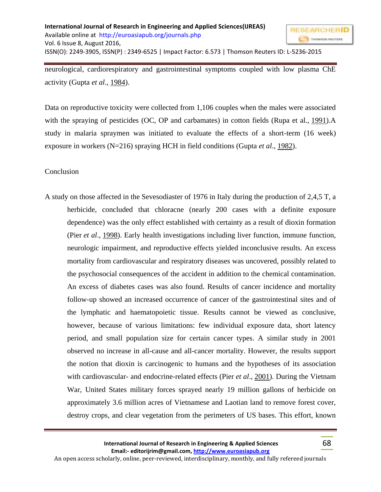

neurological, cardiorespiratory and gastrointestinal symptoms coupled with low plasma ChE activity (Gupta *et al*., [1984\)](https://www.ncbi.nlm.nih.gov/pmc/articles/PMC2984095/#CIT0051).

Data on reproductive toxicity were collected from 1,106 couples when the males were associated with the spraying of pesticides (OC, OP and carbamates) in cotton fields (Rupa et al., [1991\)](https://www.ncbi.nlm.nih.gov/pmc/articles/PMC2984095/#CIT0133).A study in malaria spraymen was initiated to evaluate the effects of a short-term (16 week) exposure in workers (N=216) spraying HCH in field conditions (Gupta *et al*., [1982\)](https://www.ncbi.nlm.nih.gov/pmc/articles/PMC2984095/#CIT0052).

## Conclusion

A study on those affected in the Sevesodiaster of 1976 in Italy during the production of 2,4,5 T, a herbicide, concluded that chloracne (nearly 200 cases with a definite exposure dependence) was the only effect established with certainty as a result of dioxin formation (Pier *et al*., [1998\)](https://www.ncbi.nlm.nih.gov/pmc/articles/PMC2984095/#CIT0117). Early health investigations including liver function, immune function, neurologic impairment, and reproductive effects yielded inconclusive results. An excess mortality from cardiovascular and respiratory diseases was uncovered, possibly related to the psychosocial consequences of the accident in addition to the chemical contamination. An excess of diabetes cases was also found. Results of cancer incidence and mortality follow-up showed an increased occurrence of cancer of the gastrointestinal sites and of the lymphatic and haematopoietic tissue. Results cannot be viewed as conclusive, however, because of various limitations: few individual exposure data, short latency period, and small population size for certain cancer types. A similar study in 2001 observed no increase in all-cause and all-cancer mortality. However, the results support the notion that dioxin is carcinogenic to humans and the hypotheses of its association with cardiovascular- and endocrine-related effects (Pier *et al*., [2001\)](https://www.ncbi.nlm.nih.gov/pmc/articles/PMC2984095/#CIT0116). During the Vietnam War, United States military forces sprayed nearly 19 million gallons of herbicide on approximately 3.6 million acres of Vietnamese and Laotian land to remove forest cover, destroy crops, and clear vegetation from the perimeters of US bases. This effort, known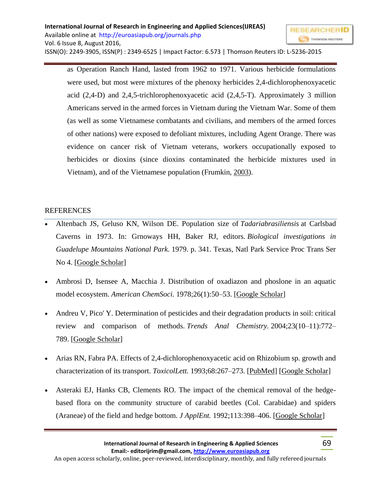as Operation Ranch Hand, lasted from 1962 to 1971. Various herbicide formulations were used, but most were mixtures of the phenoxy herbicides 2,4-dichlorophenoxyacetic acid (2,4-D) and 2,4,5-trichlorophenoxyacetic acid (2,4,5-T). Approximately 3 million Americans served in the armed forces in Vietnam during the Vietnam War. Some of them (as well as some Vietnamese combatants and civilians, and members of the armed forces of other nations) were exposed to defoliant mixtures, including Agent Orange. There was evidence on cancer risk of Vietnam veterans, workers occupationally exposed to herbicides or dioxins (since dioxins contaminated the herbicide mixtures used in Vietnam), and of the Vietnamese population (Frumkin, [2003\)](https://www.ncbi.nlm.nih.gov/pmc/articles/PMC2984095/#CIT0045).

# REFERENCES

- Altenbach JS, Geluso KN, Wilson DE. Population size of *Tadariabrasiliensis* at Carlsbad Caverns in 1973. In: Grnoways HH, Baker RJ, editors. *Biological investigations in Guadelupe Mountains National Park.* 1979. p. 341. Texas, Natl Park Service Proc Trans Ser No 4. [\[Google Scholar\]](https://scholar.google.com/scholar_lookup?title=Biological+investigations+in+Guadelupe+Mountains+National+Park&author=JS+Altenbach&author=KN+Geluso&author=DE.+Wilson&publication_year=1979&)
- Ambrosi D, Isensee A, Macchia J. Distribution of oxadiazon and phoslone in an aquatic model ecosystem. *American ChemSoci.* 1978;26(1):50–53. [\[Google Scholar\]](https://scholar.google.com/scholar_lookup?journal=American+Chem+Soci&title=Distribution+of+oxadiazon+and+phoslone+in+an+aquatic+model+ecosystem&author=D+Ambrosi&author=A+Isensee&author=J+Macchia&volume=26&issue=1&publication_year=1978&pages=50-53&)
- Andreu V, Pico' Y. Determination of pesticides and their degradation products in soil: critical review and comparison of methods. *Trends Anal Chemistry.* 2004;23(10–11):772– 789. [\[Google Scholar\]](https://scholar.google.com/scholar_lookup?journal=Trends+Anal+Chemistry&title=Determination+of+pesticides+and+their+degradation+products+in+soil:+critical+review+and+comparison+of+methods&author=V+Andreu&author=Y+Pico%27&volume=23&issue=10%E2%80%9311&publication_year=2004&pages=772-789&)
- Arias RN, Fabra PA. Effects of 2,4-dichlorophenoxyacetic acid on Rhizobium sp. growth and characterization of its transport. *ToxicolLett*. 1993;68:267-273. [\[PubMed\]](https://www.ncbi.nlm.nih.gov/pubmed/8516779) [\[Google Scholar\]](https://scholar.google.com/scholar_lookup?journal=Toxicol+Lett&title=Effects+of+2,4-dichlorophenoxyacetic+acid+on+Rhizobium+sp.+growth+and+characterization+of+its+transport&author=RN+Arias&author=PA+Fabra&volume=68&publication_year=1993&pages=267-273&pmid=8516779&)
- Asteraki EJ, Hanks CB, Clements RO. The impact of the chemical removal of the hedgebased flora on the community structure of carabid beetles (Col. Carabidae) and spiders (Araneae) of the field and hedge bottom. *J ApplEnt.* 1992;113:398–406. [\[Google Scholar\]](https://scholar.google.com/scholar_lookup?journal=J+Appl+Ent&title=The+impact+of+the+chemical+removal+of+the+hedge-based+flora+on+the+community+structure+of+carabid+beetles+(Col.+Carabidae)+and+spiders+(Araneae)+of+the+field+and+hedge+bottom&author=EJ+Asteraki&author=CB+Hanks&author=RO+Clements&volume=113&publication_year=1992&pages=398-406&)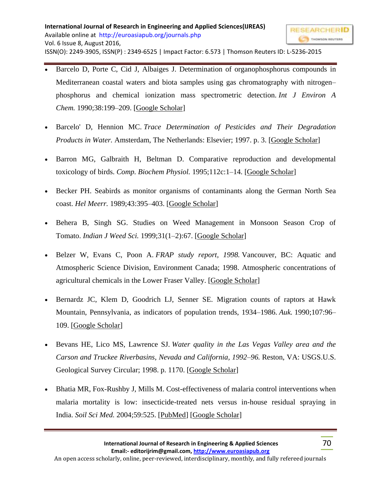- Barcelo D, Porte C, Cid J, Albaiges J. Determination of organophosphorus compounds in Mediterranean coastal waters and biota samples using gas chromatography with nitrogen– phosphorus and chemical ionization mass spectrometric detection. *Int J Environ A Chem.* 1990;38:199–209. [\[Google Scholar\]](https://scholar.google.com/scholar_lookup?journal=Int+J+Environ+A+Chem&title=Determination+of+organophosphorus+compounds+in+Mediterranean+coastal+waters+and+biota+samples+using+gas+chromatography+with+nitrogen%E2%80%93phosphorus+and+chemical+ionization+mass+spectrometric+detection&author=D+Barcelo&author=C+Porte&author=J+Cid&author=J+Albaiges&volume=38&publication_year=1990&pages=199-209&)
- Barcelo' D, Hennion MC. *Trace Determination of Pesticides and Their Degradation Products in Water.* Amsterdam, The Netherlands: Elsevier; 1997. p. 3. [\[Google Scholar\]](https://scholar.google.com/scholar_lookup?title=Trace+Determination+of+Pesticides+and+Their+Degradation+Products+in+Water&author=D+Barcelo%27&author=MC+Hennion&publication_year=1997&)
- Barron MG, Galbraith H, Beltman D. Comparative reproduction and developmental toxicology of birds. *Comp. Biochem Physiol.* 1995;112c:1–14. [\[Google Scholar\]](https://scholar.google.com/scholar_lookup?journal=Comp.+Biochem+Physiol&title=Comparative+reproduction+and+developmental+toxicology+of+birds&author=MG+Barron&author=H+Galbraith&author=D+Beltman&volume=112c&publication_year=1995&pages=1-14&)
- Becker PH. Seabirds as monitor organisms of contaminants along the German North Sea coast. *Hel Meerr.* 1989;43:395–403. [\[Google Scholar\]](https://scholar.google.com/scholar_lookup?journal=Hel+Meerr&title=Seabirds+as+monitor+organisms+of+contaminants+along+the+German+North+Sea+coast&author=PH+Becker&volume=43&publication_year=1989&pages=395-403&)
- Behera B, Singh SG. Studies on Weed Management in Monsoon Season Crop of Tomato. *Indian J Weed Sci.* 1999;31(1–2):67. [\[Google Scholar\]](https://scholar.google.com/scholar_lookup?journal=Indian+J+Weed+Sci&title=Studies+on+Weed+Management+in+Monsoon+Season+Crop+of+Tomato&author=B+Behera&author=SG+Singh&volume=31&issue=1%E2%80%932&publication_year=1999&pages=67&)
- Belzer W, Evans C, Poon A. *FRAP study report, 1998.* Vancouver, BC: Aquatic and Atmospheric Science Division, Environment Canada; 1998. Atmospheric concentrations of agricultural chemicals in the Lower Fraser Valley. [\[Google Scholar\]](https://scholar.google.com/scholar_lookup?title=FRAP+study+report,+1998&author=W+Belzer&author=C+Evans&author=A+Poon&publication_year=1998&)
- Bernardz JC, Klem D, Goodrich LJ, Senner SE. Migration counts of raptors at Hawk Mountain, Pennsylvania, as indicators of population trends, 1934–1986. *Auk.* 1990;107:96– 109. [\[Google Scholar\]](https://scholar.google.com/scholar_lookup?journal=Auk&title=Migration+counts+of+raptors+at+Hawk+Mountain,+Pennsylvania,+as+indicators+of+population+trends,+1934%E2%80%931986&author=JC+Bernardz&author=D+Klem&author=LJ+Goodrich&author=SE+Senner&volume=107&publication_year=1990&pages=96-109&)
- Bevans HE, Lico MS, Lawrence SJ. *Water quality in the Las Vegas Valley area and the Carson and Truckee Riverbasins, Nevada and California, 1992–96.* Reston, VA: USGS.U.S. Geological Survey Circular; 1998. p. 1170. [\[Google Scholar\]](https://scholar.google.com/scholar_lookup?title=Water+quality+in+the+Las+Vegas+Valley+area+and+the+Carson+and+Truckee+Riverbasins,+Nevada+and+California,+1992%E2%80%9396&author=HE+Bevans&author=MS+Lico&author=SJ+Lawrence&publication_year=1998&)
- Bhatia MR, Fox-Rushby J, Mills M. Cost-effectiveness of malaria control interventions when malaria mortality is low: insecticide-treated nets versus in-house residual spraying in India. *Soil Sci Med.* 2004;59:525. [\[PubMed\]](https://www.ncbi.nlm.nih.gov/pubmed/15144762) [\[Google Scholar\]](https://scholar.google.com/scholar_lookup?journal=Soil+Sci+Med&title=Cost-effectiveness+of+malaria+control+interventions+when+malaria+mortality+is+low:+insecticide-treated+nets+versus+in-house+residual+spraying+in+India&author=MR+Bhatia&author=J+Fox-Rushby&author=M+Mills&volume=59&publication_year=2004&pages=525&)

THOMSON REUTERS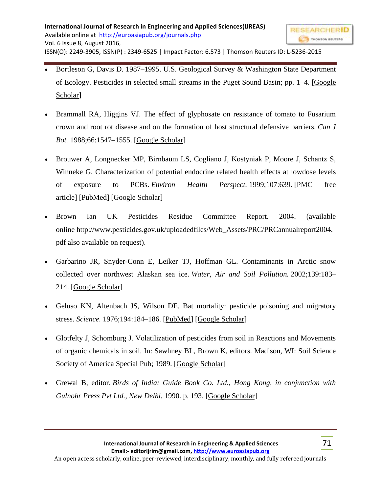- Brammall RA, Higgins VJ. The effect of glyphosate on resistance of tomato to Fusarium crown and root rot disease and on the formation of host structural defensive barriers. *Can J Bot.* 1988;66:1547–1555. [\[Google Scholar\]](https://scholar.google.com/scholar_lookup?journal=Can+J+Bot&title=The+effect+of+glyphosate+on+resistance+of+tomato+to+Fusarium+crown+and+root+rot+disease+and+on+the+formation+of+host+structural+defensive+barriers&author=RA+Brammall&author=VJ+Higgins&volume=66&publication_year=1988&pages=1547-1555&)
- Brouwer A, Longnecker MP, Birnbaum LS, Cogliano J, Kostyniak P, Moore J, Schantz S, Winneke G. Characterization of potential endocrine related health effects at lowdose levels of exposure to PCBs. *Environ Health Perspect.* 1999;107:639. [\[PMC free](https://www.ncbi.nlm.nih.gov/pmc/articles/PMC1567499/)  [article\]](https://www.ncbi.nlm.nih.gov/pmc/articles/PMC1567499/) [\[PubMed\]](https://www.ncbi.nlm.nih.gov/pubmed/10421775) [\[Google Scholar\]](https://scholar.google.com/scholar_lookup?journal=Environ+Health+Perspect&title=Characterization+of+potential+endocrine+related+health+effects+at+lowdose+levels+of+exposure+to+PCBs&author=A+Brouwer&author=MP+Longnecker&author=LS+Birnbaum&author=J+Cogliano&author=P+Kostyniak&volume=107&publication_year=1999&pages=639&pmid=10421775&)
- Brown Ian UK Pesticides Residue Committee Report. 2004. (available online [http://www.pesticides.gov.uk/uploadedfiles/Web\\_Assets/PRC/PRCannualreport2004.](http://www.pesticides.gov.uk/uploadedfiles/Web_Assets/PRC/PRCannual-report2004.pdf) [pdf](http://www.pesticides.gov.uk/uploadedfiles/Web_Assets/PRC/PRCannual-report2004.pdf) also available on request).
- Garbarino JR, Snyder-Conn E, Leiker TJ, Hoffman GL. Contaminants in Arctic snow collected over northwest Alaskan sea ice. *Water, Air and Soil Pollution.* 2002;139:183– 214. [\[Google Scholar\]](https://scholar.google.com/scholar_lookup?journal=Water,+Air+and+Soil+Pollution&title=Contaminants+in+Arctic+snow+collected+over+northwest+Alaskan+sea+ice&author=JR+Garbarino&author=E+Snyder-Conn&author=TJ+Leiker&author=GL+Hoffman&volume=139&publication_year=2002&pages=183-214&)
- Geluso KN, Altenbach JS, Wilson DE. Bat mortality: pesticide poisoning and migratory stress. *Science.* 1976;194:184–186. [\[PubMed\]](https://www.ncbi.nlm.nih.gov/pubmed/959845) [\[Google Scholar\]](https://scholar.google.com/scholar_lookup?journal=Science&title=Bat+mortality:+pesticide+poisoning+and+migratory+stress&author=KN+Geluso&author=JS+Altenbach&author=DE+Wilson&volume=194&publication_year=1976&pages=184-186&pmid=959845&)
- Glotfelty J, Schomburg J. Volatilization of pesticides from soil in Reactions and Movements of organic chemicals in soil. In: Sawhney BL, Brown K, editors. Madison, WI: Soil Science Society of America Special Pub; 1989. [\[Google Scholar\]](https://scholar.google.com/scholar?q=Glotfelty+J+Schomburg+J+Sawhney+BL+Brown+K+Volatilization+of+pesticides+from+soil+in+Reactions+and+Movements+of+organic+chemicals+in+soil+1989+Madison,+WI+Soil+Science+Society+of+America+Special+Pub+)
- Grewal B, editor. *Birds of India: Guide Book Co. Ltd., Hong Kong, in conjunction with Gulnohr Press Pvt Ltd., New Delhi.* 1990. p. 193. [\[Google Scholar\]](https://scholar.google.com/scholar_lookup?title=Birds+of+India:+Guide+Book+Co.+Ltd.,+Hong+Kong,+in+conjunction+with+Gulnohr+Press+Pvt+Ltd.,+New+Delhi&publication_year=1990&)

THOMSON REUTERS